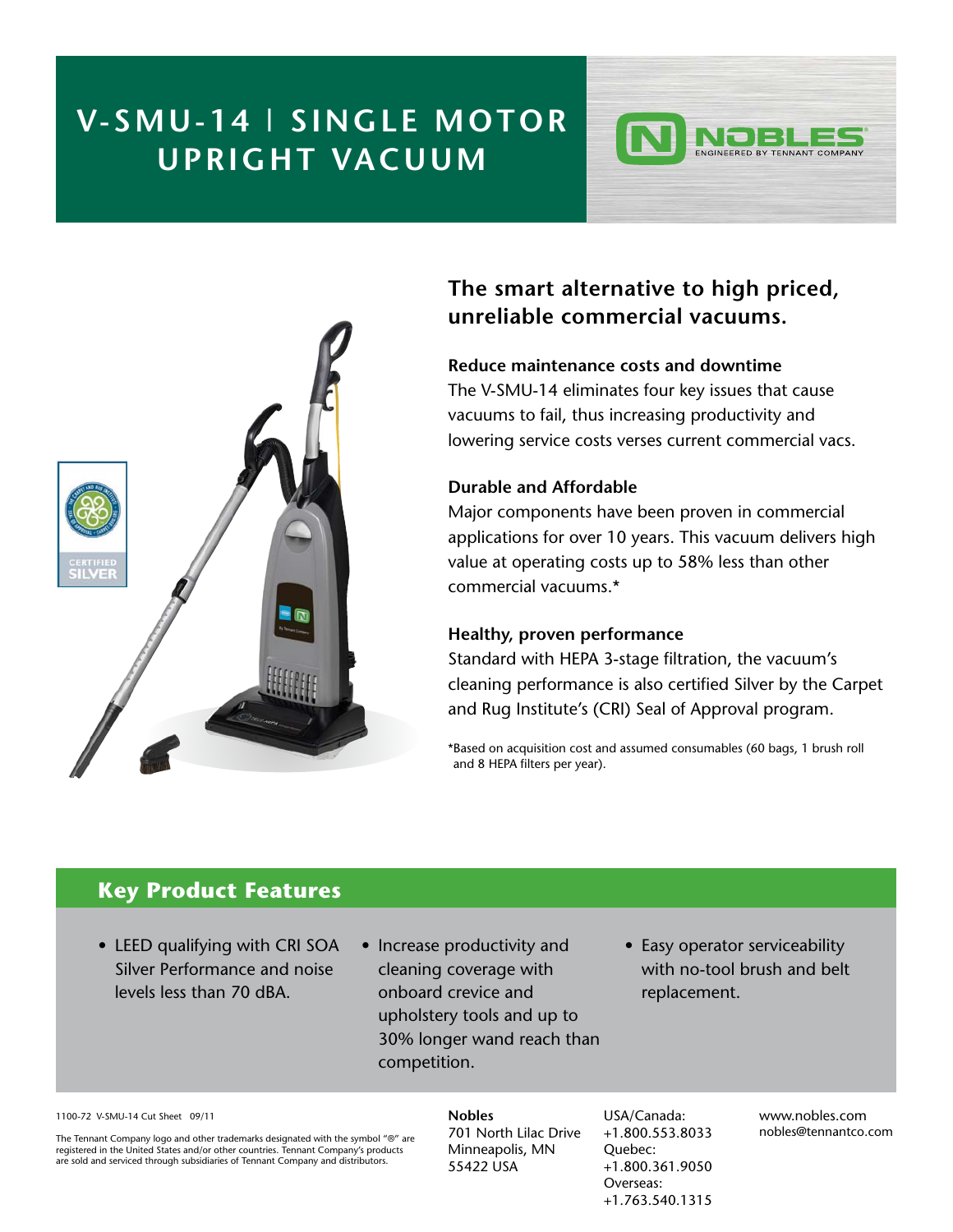# **V-SMU-14 | Single Motor Upright Vacuum**



### **The smart alternative to high priced, unreliable commercial vacuums.**

INGINEERED BY TENNANT COMPANY

#### **Reduce maintenance costs and downtime**

The V-SMU-14 eliminates four key issues that cause vacuums to fail, thus increasing productivity and lowering service costs verses current commercial vacs.

#### **Durable and Affordable**

Major components have been proven in commercial applications for over 10 years. This vacuum delivers high value at operating costs up to 58% less than other commercial vacuums.\*

#### **Healthy, proven performance**

Standard with HEPA 3-stage filtration, the vacuum's cleaning performance is also certified Silver by the Carpet and Rug Institute's (CRI) Seal of Approval program.

\*Based on acquisition cost and assumed consumables (60 bags, 1 brush roll and 8 HEPA filters per year).

### **Key Product Features**

- LEED qualifying with CRI SOA Silver Performance and noise levels less than 70 dBA.
- Increase productivity and cleaning coverage with onboard crevice and upholstery tools and up to 30% longer wand reach than competition.
- Easy operator serviceability with no-tool brush and belt replacement.

1100-72 V-SMU-14 Cut Sheet 09/11

The Tennant Company logo and other trademarks designated with the symbol "®" are registered in the United States and/or other countries. Tennant Company's products are sold and serviced through subsidiaries of Tennant Company and distributors.

**Nobles** 701 North Lilac Drive Minneapolis, MN 55422 USA

USA/Canada: +1.800.553.8033 Quebec: +1.800.361.9050 Overseas: +1.763.540.1315

www.nobles.com nobles@tennantco.com